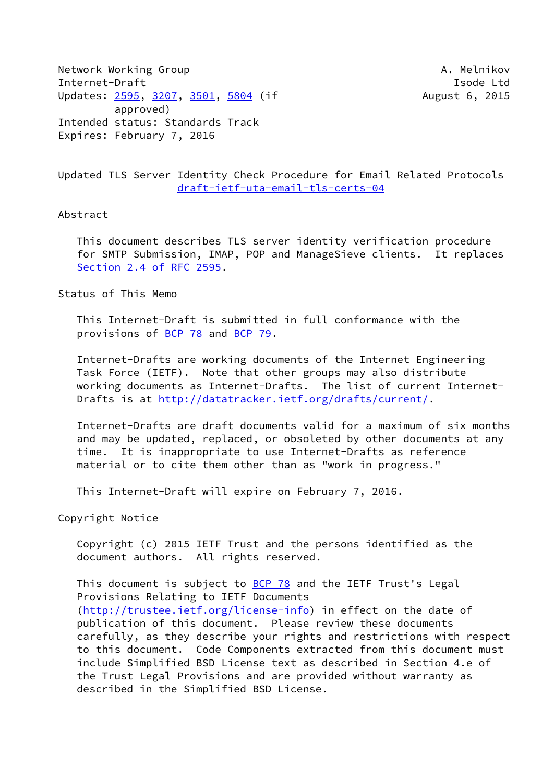Network Working Group **A. Melnikov** A. Melnikov Internet-Draft **Isolat Isom and Isom and Isolat Isolat Isolat Isolat Isolat Isolat Isolat Isolat Isolat Isolat Isolat Isolat Isolat Isolat Isolat Isolat Isolat Isolat Isolat Isolat Isolat Isolat Isolat Isolat Isolat Isolat** Updates: [2595](https://datatracker.ietf.org/doc/pdf/rfc2595), [3207,](https://datatracker.ietf.org/doc/pdf/rfc3207) [3501](https://datatracker.ietf.org/doc/pdf/rfc3501), [5804](https://datatracker.ietf.org/doc/pdf/rfc5804) (if August 6, 2015 approved) Intended status: Standards Track Expires: February 7, 2016

# Updated TLS Server Identity Check Procedure for Email Related Protocols [draft-ietf-uta-email-tls-certs-04](https://datatracker.ietf.org/doc/pdf/draft-ietf-uta-email-tls-certs-04)

#### Abstract

 This document describes TLS server identity verification procedure for SMTP Submission, IMAP, POP and ManageSieve clients. It replaces Section [2.4 of RFC 2595](https://datatracker.ietf.org/doc/pdf/rfc2595#section-2.4).

Status of This Memo

 This Internet-Draft is submitted in full conformance with the provisions of [BCP 78](https://datatracker.ietf.org/doc/pdf/bcp78) and [BCP 79](https://datatracker.ietf.org/doc/pdf/bcp79).

 Internet-Drafts are working documents of the Internet Engineering Task Force (IETF). Note that other groups may also distribute working documents as Internet-Drafts. The list of current Internet- Drafts is at<http://datatracker.ietf.org/drafts/current/>.

 Internet-Drafts are draft documents valid for a maximum of six months and may be updated, replaced, or obsoleted by other documents at any time. It is inappropriate to use Internet-Drafts as reference material or to cite them other than as "work in progress."

This Internet-Draft will expire on February 7, 2016.

Copyright Notice

 Copyright (c) 2015 IETF Trust and the persons identified as the document authors. All rights reserved.

This document is subject to **[BCP 78](https://datatracker.ietf.org/doc/pdf/bcp78)** and the IETF Trust's Legal Provisions Relating to IETF Documents [\(http://trustee.ietf.org/license-info](http://trustee.ietf.org/license-info)) in effect on the date of publication of this document. Please review these documents carefully, as they describe your rights and restrictions with respect to this document. Code Components extracted from this document must include Simplified BSD License text as described in Section 4.e of the Trust Legal Provisions and are provided without warranty as described in the Simplified BSD License.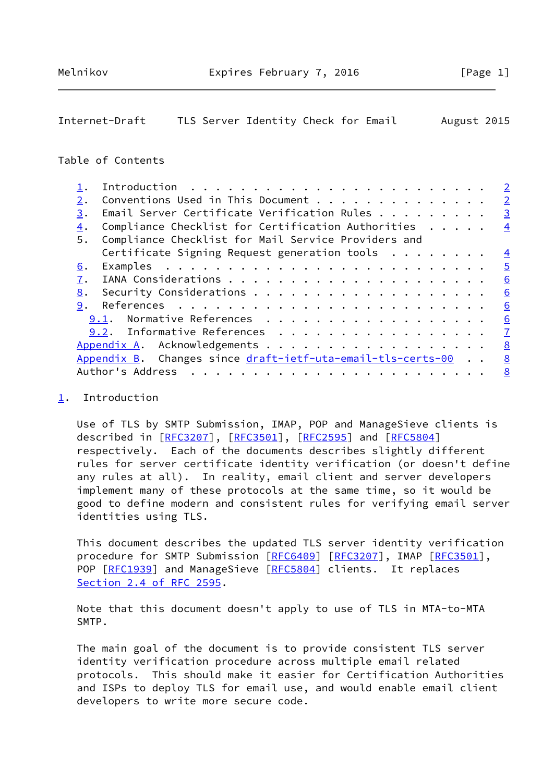# <span id="page-1-1"></span>Internet-Draft TLS Server Identity Check for Email August 2015

# Table of Contents

|    |                                                             | $\overline{2}$ |
|----|-------------------------------------------------------------|----------------|
| 2. | Conventions Used in This Document                           | $\overline{2}$ |
| 3. | Email Server Certificate Verification Rules $\dots \dots$   | $\overline{3}$ |
| 4. | Compliance Checklist for Certification Authorities          | $\overline{4}$ |
| 5. | Compliance Checklist for Mail Service Providers and         |                |
|    | Certificate Signing Request generation tools $\dots \dots$  | $\overline{4}$ |
| 6. |                                                             | $\overline{5}$ |
| 7. |                                                             | 6              |
| 8. |                                                             | 6              |
| 9. |                                                             | 6              |
|    | Normative References<br>9.1.                                | 6              |
|    | 9.2. Informative References                                 | $\overline{1}$ |
|    |                                                             | 8              |
|    | Appendix B. Changes since draft-ietf-uta-email-tls-certs-00 | 8              |
|    | Author's Address                                            | 8              |
|    |                                                             |                |

### <span id="page-1-0"></span>[1](#page-1-0). Introduction

 Use of TLS by SMTP Submission, IMAP, POP and ManageSieve clients is described in [\[RFC3207](https://datatracker.ietf.org/doc/pdf/rfc3207)], [\[RFC3501](https://datatracker.ietf.org/doc/pdf/rfc3501)], [[RFC2595\]](https://datatracker.ietf.org/doc/pdf/rfc2595) and [\[RFC5804](https://datatracker.ietf.org/doc/pdf/rfc5804)] respectively. Each of the documents describes slightly different rules for server certificate identity verification (or doesn't define any rules at all). In reality, email client and server developers implement many of these protocols at the same time, so it would be good to define modern and consistent rules for verifying email server identities using TLS.

 This document describes the updated TLS server identity verification procedure for SMTP Submission [[RFC6409](https://datatracker.ietf.org/doc/pdf/rfc6409)] [\[RFC3207](https://datatracker.ietf.org/doc/pdf/rfc3207)], IMAP [\[RFC3501](https://datatracker.ietf.org/doc/pdf/rfc3501)], POP [\[RFC1939](https://datatracker.ietf.org/doc/pdf/rfc1939)] and ManageSieve [[RFC5804](https://datatracker.ietf.org/doc/pdf/rfc5804)] clients. It replaces Section [2.4 of RFC 2595](https://datatracker.ietf.org/doc/pdf/rfc2595#section-2.4).

 Note that this document doesn't apply to use of TLS in MTA-to-MTA SMTP.

 The main goal of the document is to provide consistent TLS server identity verification procedure across multiple email related protocols. This should make it easier for Certification Authorities and ISPs to deploy TLS for email use, and would enable email client developers to write more secure code.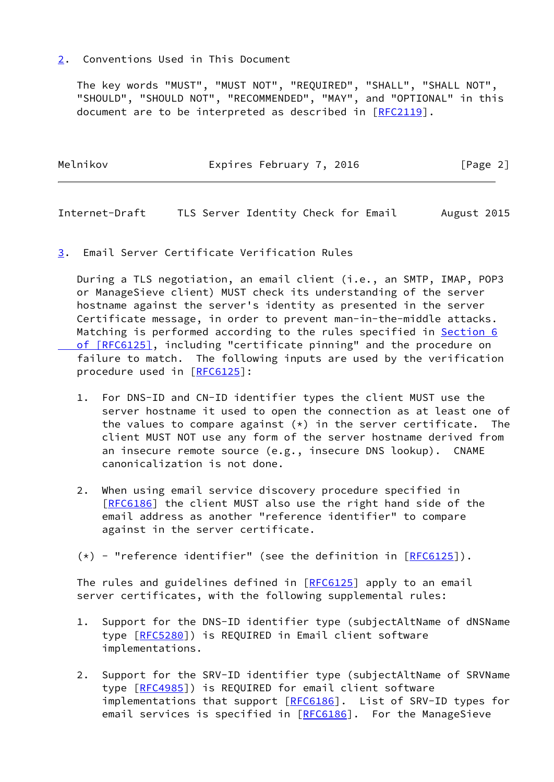## <span id="page-2-0"></span>[2](#page-2-0). Conventions Used in This Document

 The key words "MUST", "MUST NOT", "REQUIRED", "SHALL", "SHALL NOT", "SHOULD", "SHOULD NOT", "RECOMMENDED", "MAY", and "OPTIONAL" in this document are to be interpreted as described in [\[RFC2119](https://datatracker.ietf.org/doc/pdf/rfc2119)].

| Melnikov | Expires February 7, 2016 | [Page 2] |
|----------|--------------------------|----------|
|          |                          |          |

<span id="page-2-2"></span>Internet-Draft TLS Server Identity Check for Email August 2015

<span id="page-2-1"></span>[3](#page-2-1). Email Server Certificate Verification Rules

 During a TLS negotiation, an email client (i.e., an SMTP, IMAP, POP3 or ManageSieve client) MUST check its understanding of the server hostname against the server's identity as presented in the server Certificate message, in order to prevent man-in-the-middle attacks. Matching is performed according to the rules specified in [Section](https://datatracker.ietf.org/doc/pdf/rfc6125#section-6) 6  [of \[RFC6125\]](https://datatracker.ietf.org/doc/pdf/rfc6125#section-6), including "certificate pinning" and the procedure on failure to match. The following inputs are used by the verification procedure used in [[RFC6125](https://datatracker.ietf.org/doc/pdf/rfc6125)]:

- 1. For DNS-ID and CN-ID identifier types the client MUST use the server hostname it used to open the connection as at least one of the values to compare against  $(*)$  in the server certificate. The client MUST NOT use any form of the server hostname derived from an insecure remote source (e.g., insecure DNS lookup). CNAME canonicalization is not done.
- 2. When using email service discovery procedure specified in [\[RFC6186](https://datatracker.ietf.org/doc/pdf/rfc6186)] the client MUST also use the right hand side of the email address as another "reference identifier" to compare against in the server certificate.
- $(*)$  "reference identifier" (see the definition in  $[REC6125]$ ).

The rules and guidelines defined in [\[RFC6125](https://datatracker.ietf.org/doc/pdf/rfc6125)] apply to an email server certificates, with the following supplemental rules:

- 1. Support for the DNS-ID identifier type (subjectAltName of dNSName type [\[RFC5280](https://datatracker.ietf.org/doc/pdf/rfc5280)]) is REQUIRED in Email client software implementations.
- 2. Support for the SRV-ID identifier type (subjectAltName of SRVName type [\[RFC4985](https://datatracker.ietf.org/doc/pdf/rfc4985)]) is REQUIRED for email client software implementations that support [\[RFC6186](https://datatracker.ietf.org/doc/pdf/rfc6186)]. List of SRV-ID types for email services is specified in [[RFC6186\]](https://datatracker.ietf.org/doc/pdf/rfc6186). For the ManageSieve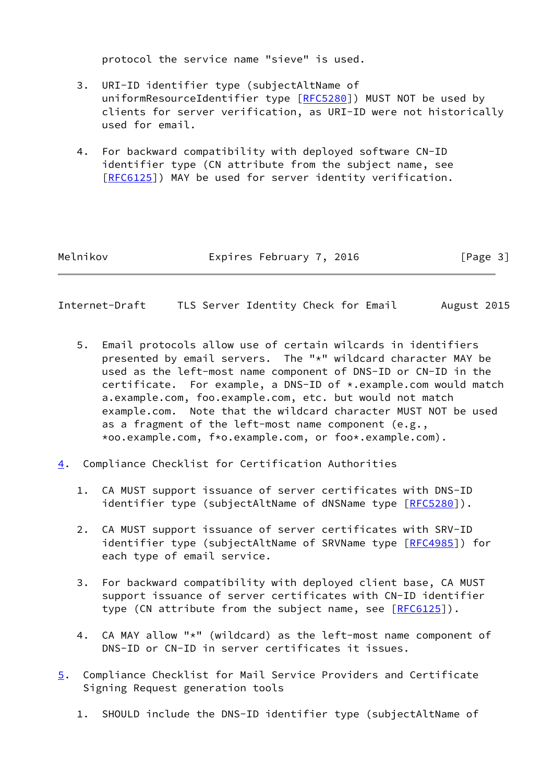protocol the service name "sieve" is used.

- 3. URI-ID identifier type (subjectAltName of uniformResourceIdentifier type [[RFC5280\]](https://datatracker.ietf.org/doc/pdf/rfc5280)) MUST NOT be used by clients for server verification, as URI-ID were not historically used for email.
- 4. For backward compatibility with deployed software CN-ID identifier type (CN attribute from the subject name, see [\[RFC6125](https://datatracker.ietf.org/doc/pdf/rfc6125)]) MAY be used for server identity verification.

Melnikov **Expires February 7, 2016** [Page 3]

- <span id="page-3-1"></span>Internet-Draft TLS Server Identity Check for Email August 2015
	- 5. Email protocols allow use of certain wilcards in identifiers presented by email servers. The "\*" wildcard character MAY be used as the left-most name component of DNS-ID or CN-ID in the certificate. For example, a DNS-ID of \*.example.com would match a.example.com, foo.example.com, etc. but would not match example.com. Note that the wildcard character MUST NOT be used as a fragment of the left-most name component (e.g., \*oo.example.com, f\*o.example.com, or foo\*.example.com).
- <span id="page-3-0"></span>[4](#page-3-0). Compliance Checklist for Certification Authorities
	- 1. CA MUST support issuance of server certificates with DNS-ID identifier type (subjectAltName of dNSName type [\[RFC5280](https://datatracker.ietf.org/doc/pdf/rfc5280)]).
	- 2. CA MUST support issuance of server certificates with SRV-ID identifier type (subjectAltName of SRVName type [\[RFC4985](https://datatracker.ietf.org/doc/pdf/rfc4985)]) for each type of email service.
	- 3. For backward compatibility with deployed client base, CA MUST support issuance of server certificates with CN-ID identifier type (CN attribute from the subject name, see [[RFC6125](https://datatracker.ietf.org/doc/pdf/rfc6125)]).
	- 4. CA MAY allow "\*" (wildcard) as the left-most name component of DNS-ID or CN-ID in server certificates it issues.
- <span id="page-3-2"></span>[5](#page-3-2). Compliance Checklist for Mail Service Providers and Certificate Signing Request generation tools
	- 1. SHOULD include the DNS-ID identifier type (subjectAltName of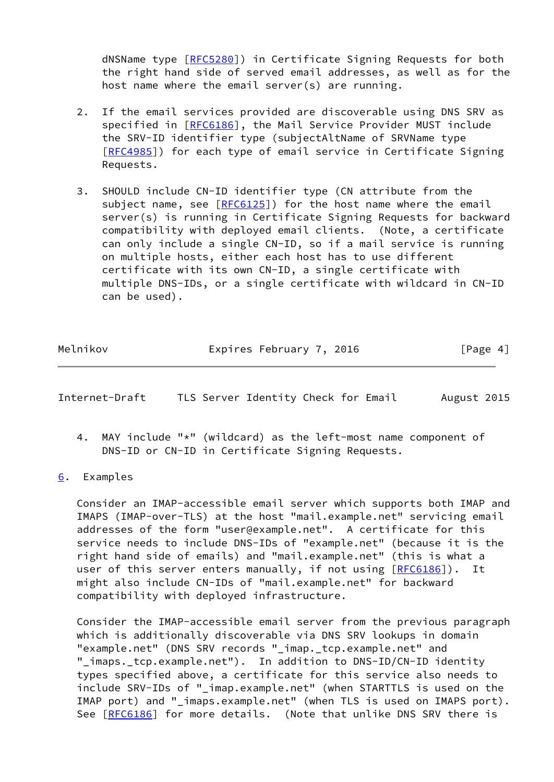dNSName type [\[RFC5280](https://datatracker.ietf.org/doc/pdf/rfc5280)]) in Certificate Signing Requests for both the right hand side of served email addresses, as well as for the host name where the email server(s) are running.

- 2. If the email services provided are discoverable using DNS SRV as specified in [\[RFC6186](https://datatracker.ietf.org/doc/pdf/rfc6186)], the Mail Service Provider MUST include the SRV-ID identifier type (subjectAltName of SRVName type [\[RFC4985](https://datatracker.ietf.org/doc/pdf/rfc4985)]) for each type of email service in Certificate Signing Requests.
- 3. SHOULD include CN-ID identifier type (CN attribute from the subject name, see  $[REG125]$ ) for the host name where the email server(s) is running in Certificate Signing Requests for backward compatibility with deployed email clients. (Note, a certificate can only include a single CN-ID, so if a mail service is running on multiple hosts, either each host has to use different certificate with its own CN-ID, a single certificate with multiple DNS-IDs, or a single certificate with wildcard in CN-ID can be used).

| Melnikov | Expires February 7, 2016 |  | [Page 4] |  |
|----------|--------------------------|--|----------|--|
|          |                          |  |          |  |

<span id="page-4-1"></span>

| Internet-Draft |  |  | TLS Server Identity Check for Email |  |  |  | August 2015 |  |
|----------------|--|--|-------------------------------------|--|--|--|-------------|--|
|----------------|--|--|-------------------------------------|--|--|--|-------------|--|

 4. MAY include "\*" (wildcard) as the left-most name component of DNS-ID or CN-ID in Certificate Signing Requests.

### <span id="page-4-0"></span>[6](#page-4-0). Examples

 Consider an IMAP-accessible email server which supports both IMAP and IMAPS (IMAP-over-TLS) at the host "mail.example.net" servicing email addresses of the form "user@example.net". A certificate for this service needs to include DNS-IDs of "example.net" (because it is the right hand side of emails) and "mail.example.net" (this is what a user of this server enters manually, if not using [[RFC6186](https://datatracker.ietf.org/doc/pdf/rfc6186)]). It might also include CN-IDs of "mail.example.net" for backward compatibility with deployed infrastructure.

 Consider the IMAP-accessible email server from the previous paragraph which is additionally discoverable via DNS SRV lookups in domain "example.net" (DNS SRV records " imap. tcp.example.net" and "\_imaps.\_tcp.example.net"). In addition to DNS-ID/CN-ID identity types specified above, a certificate for this service also needs to include SRV-IDs of "\_imap.example.net" (when STARTTLS is used on the IMAP port) and " imaps.example.net" (when TLS is used on IMAPS port). See [\[RFC6186](https://datatracker.ietf.org/doc/pdf/rfc6186)] for more details. (Note that unlike DNS SRV there is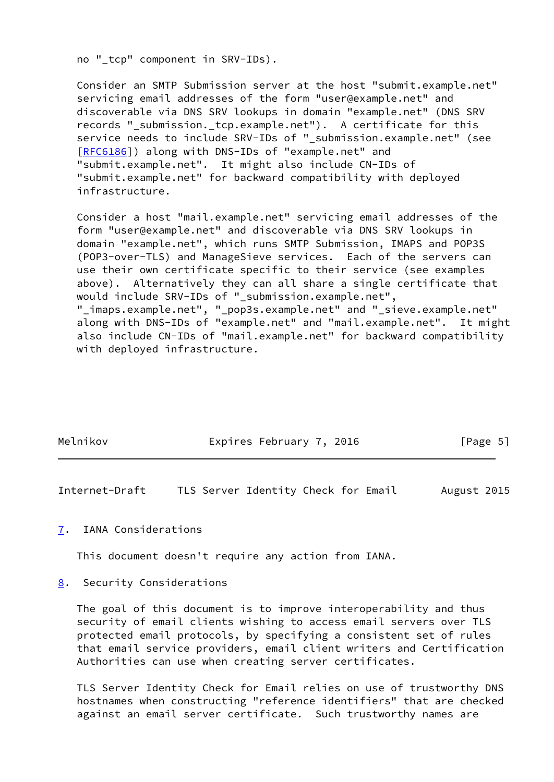no " tcp" component in SRV-IDs).

 Consider an SMTP Submission server at the host "submit.example.net" servicing email addresses of the form "user@example.net" and discoverable via DNS SRV lookups in domain "example.net" (DNS SRV records "\_submission.\_tcp.example.net"). A certificate for this service needs to include SRV-IDs of "\_submission.example.net" (see [\[RFC6186](https://datatracker.ietf.org/doc/pdf/rfc6186)]) along with DNS-IDs of "example.net" and "submit.example.net". It might also include CN-IDs of "submit.example.net" for backward compatibility with deployed infrastructure.

 Consider a host "mail.example.net" servicing email addresses of the form "user@example.net" and discoverable via DNS SRV lookups in domain "example.net", which runs SMTP Submission, IMAPS and POP3S (POP3-over-TLS) and ManageSieve services. Each of the servers can use their own certificate specific to their service (see examples above). Alternatively they can all share a single certificate that would include SRV-IDs of "\_submission.example.net", "\_imaps.example.net", "\_pop3s.example.net" and "\_sieve.example.net" along with DNS-IDs of "example.net" and "mail.example.net". It might also include CN-IDs of "mail.example.net" for backward compatibility with deployed infrastructure.

| Melnikov | Expires February 7, 2016 | [Page 5] |
|----------|--------------------------|----------|
|          |                          |          |

<span id="page-5-1"></span>Internet-Draft TLS Server Identity Check for Email August 2015

#### <span id="page-5-0"></span>[7](#page-5-0). IANA Considerations

This document doesn't require any action from IANA.

#### <span id="page-5-2"></span>[8](#page-5-2). Security Considerations

 The goal of this document is to improve interoperability and thus security of email clients wishing to access email servers over TLS protected email protocols, by specifying a consistent set of rules that email service providers, email client writers and Certification Authorities can use when creating server certificates.

 TLS Server Identity Check for Email relies on use of trustworthy DNS hostnames when constructing "reference identifiers" that are checked against an email server certificate. Such trustworthy names are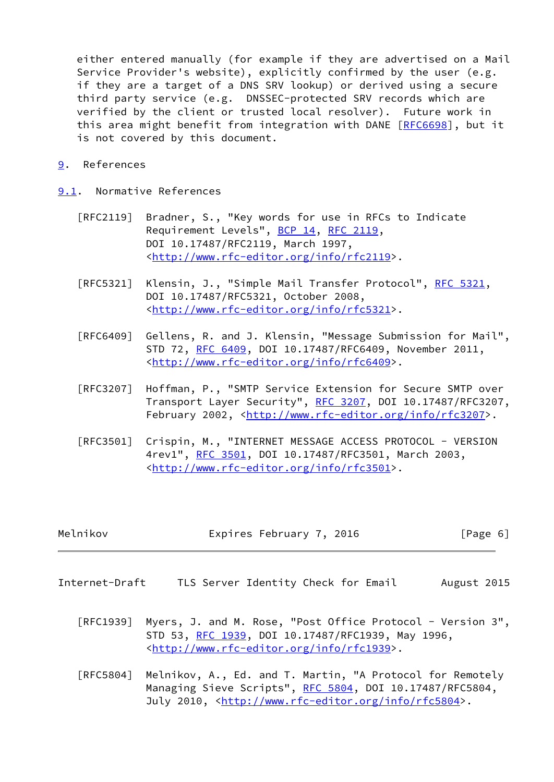either entered manually (for example if they are advertised on a Mail Service Provider's website), explicitly confirmed by the user (e.g. if they are a target of a DNS SRV lookup) or derived using a secure third party service (e.g. DNSSEC-protected SRV records which are verified by the client or trusted local resolver). Future work in this area might benefit from integration with DANE [[RFC6698\]](https://datatracker.ietf.org/doc/pdf/rfc6698), but it is not covered by this document.

<span id="page-6-0"></span>[9](#page-6-0). References

<span id="page-6-1"></span>[9.1](#page-6-1). Normative References

- [RFC2119] Bradner, S., "Key words for use in RFCs to Indicate Requirement Levels", [BCP 14](https://datatracker.ietf.org/doc/pdf/bcp14), [RFC 2119](https://datatracker.ietf.org/doc/pdf/rfc2119), DOI 10.17487/RFC2119, March 1997, <<http://www.rfc-editor.org/info/rfc2119>>.
- [RFC5321] Klensin, J., "Simple Mail Transfer Protocol", [RFC 5321](https://datatracker.ietf.org/doc/pdf/rfc5321), DOI 10.17487/RFC5321, October 2008, <<http://www.rfc-editor.org/info/rfc5321>>.
- [RFC6409] Gellens, R. and J. Klensin, "Message Submission for Mail", STD 72, [RFC 6409,](https://datatracker.ietf.org/doc/pdf/rfc6409) DOI 10.17487/RFC6409, November 2011, <<http://www.rfc-editor.org/info/rfc6409>>.
- [RFC3207] Hoffman, P., "SMTP Service Extension for Secure SMTP over Transport Layer Security", [RFC 3207](https://datatracker.ietf.org/doc/pdf/rfc3207), DOI 10.17487/RFC3207, February 2002, <<http://www.rfc-editor.org/info/rfc3207>>.
- [RFC3501] Crispin, M., "INTERNET MESSAGE ACCESS PROTOCOL VERSION 4rev1", [RFC 3501,](https://datatracker.ietf.org/doc/pdf/rfc3501) DOI 10.17487/RFC3501, March 2003, <<http://www.rfc-editor.org/info/rfc3501>>.

| Melnikov | Expires February 7, 2016 | [Page 6] |
|----------|--------------------------|----------|
|----------|--------------------------|----------|

- <span id="page-6-2"></span>Internet-Draft TLS Server Identity Check for Email August 2015
	- [RFC1939] Myers, J. and M. Rose, "Post Office Protocol Version 3", STD 53, [RFC 1939,](https://datatracker.ietf.org/doc/pdf/rfc1939) DOI 10.17487/RFC1939, May 1996, <<http://www.rfc-editor.org/info/rfc1939>>.
	- [RFC5804] Melnikov, A., Ed. and T. Martin, "A Protocol for Remotely Managing Sieve Scripts", [RFC 5804,](https://datatracker.ietf.org/doc/pdf/rfc5804) DOI 10.17487/RFC5804, July 2010, <<http://www.rfc-editor.org/info/rfc5804>>.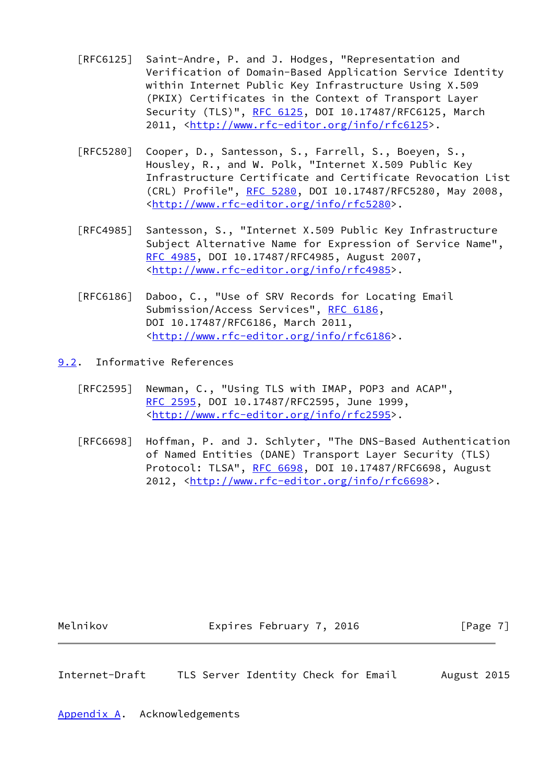- [RFC6125] Saint-Andre, P. and J. Hodges, "Representation and Verification of Domain-Based Application Service Identity within Internet Public Key Infrastructure Using X.509 (PKIX) Certificates in the Context of Transport Layer Security (TLS)", [RFC 6125,](https://datatracker.ietf.org/doc/pdf/rfc6125) DOI 10.17487/RFC6125, March 2011, [<http://www.rfc-editor.org/info/rfc6125](http://www.rfc-editor.org/info/rfc6125)>.
- [RFC5280] Cooper, D., Santesson, S., Farrell, S., Boeyen, S., Housley, R., and W. Polk, "Internet X.509 Public Key Infrastructure Certificate and Certificate Revocation List (CRL) Profile", [RFC 5280,](https://datatracker.ietf.org/doc/pdf/rfc5280) DOI 10.17487/RFC5280, May 2008, <<http://www.rfc-editor.org/info/rfc5280>>.
- [RFC4985] Santesson, S., "Internet X.509 Public Key Infrastructure Subject Alternative Name for Expression of Service Name", [RFC 4985,](https://datatracker.ietf.org/doc/pdf/rfc4985) DOI 10.17487/RFC4985, August 2007, <<http://www.rfc-editor.org/info/rfc4985>>.
- [RFC6186] Daboo, C., "Use of SRV Records for Locating Email Submission/Access Services", [RFC 6186](https://datatracker.ietf.org/doc/pdf/rfc6186), DOI 10.17487/RFC6186, March 2011, <<http://www.rfc-editor.org/info/rfc6186>>.
- <span id="page-7-0"></span>[9.2](#page-7-0). Informative References
	- [RFC2595] Newman, C., "Using TLS with IMAP, POP3 and ACAP", [RFC 2595,](https://datatracker.ietf.org/doc/pdf/rfc2595) DOI 10.17487/RFC2595, June 1999, <<http://www.rfc-editor.org/info/rfc2595>>.
	- [RFC6698] Hoffman, P. and J. Schlyter, "The DNS-Based Authentication of Named Entities (DANE) Transport Layer Security (TLS) Protocol: TLSA", [RFC 6698,](https://datatracker.ietf.org/doc/pdf/rfc6698) DOI 10.17487/RFC6698, August 2012, [<http://www.rfc-editor.org/info/rfc6698](http://www.rfc-editor.org/info/rfc6698)>.

Melnikov **Expires February 7, 2016** [Page 7]

<span id="page-7-2"></span>Internet-Draft TLS Server Identity Check for Email August 2015

<span id="page-7-1"></span>[Appendix A.](#page-7-1) Acknowledgements